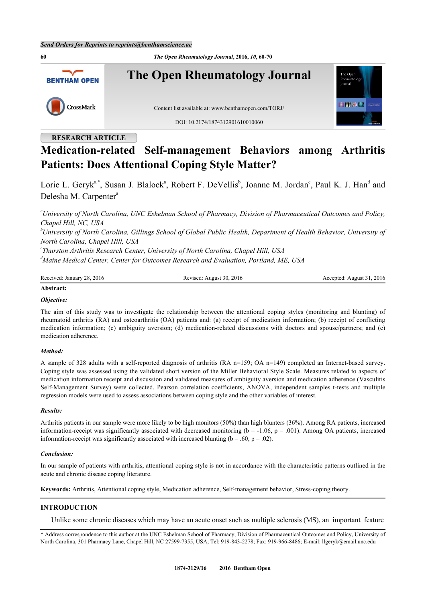**60** *The Open Rheumatology Journal***, 2016,** *10***, 60-70 The Open Rheumatology Journal** The Oper **BENTHAM OPEN** Rheumatolo **SINEAM** CrossMark Content list available at: [www.benthamopen.com/TORJ/](http://www.benthamopen.com/TORJ/) DOI: [10.2174/1874312901610010060](http://dx.doi.org/10.2174/1874312901610010060)

## **RESEARCH ARTICLE**

# **Medication-related Self-management Behaviors among Arthritis Patients: Does Attentional Coping Style Matter?**

Lorie L. Geryk<sup>[a](#page-0-0)[,\\*](#page-0-1)</sup>, Susan J. Blalock<sup>a</sup>, Ro[b](#page-0-2)ert F. DeVellis<sup>b</sup>, Joanne M. Jordan<sup>[c](#page-0-3)</sup>, Paul K. J. Han<sup>[d](#page-0-4)</sup> and Delesh[a](#page-0-0) M. Carpenter<sup>a</sup>

<span id="page-0-0"></span>*<sup>a</sup>University of North Carolina, UNC Eshelman School of Pharmacy, Division of Pharmaceutical Outcomes and Policy, Chapel Hill, NC, USA*

<span id="page-0-2"></span>*<sup>b</sup>University of North Carolina, Gillings School of Global Public Health, Department of Health Behavior, University of North Carolina, Chapel Hill, USA*

<span id="page-0-4"></span><span id="page-0-3"></span>*c Thurston Arthritis Research Center, University of North Carolina, Chapel Hill, USA <sup>d</sup>Maine Medical Center, Center for Outcomes Research and Evaluation, Portland, ME, USA*

Received: January 28, 2016 Revised: August 30, 2016 Accepted: August 31, 2016

#### **Abstract:**

## *Objective:*

The aim of this study was to investigate the relationship between the attentional coping styles (monitoring and blunting) of rheumatoid arthritis (RA) and osteoarthritis (OA) patients and: (a) receipt of medication information; (b) receipt of conflicting medication information; (c) ambiguity aversion; (d) medication-related discussions with doctors and spouse/partners; and (e) medication adherence.

#### *Method:*

A sample of 328 adults with a self-reported diagnosis of arthritis (RA n=159; OA n=149) completed an Internet-based survey. Coping style was assessed using the validated short version of the Miller Behavioral Style Scale. Measures related to aspects of medication information receipt and discussion and validated measures of ambiguity aversion and medication adherence (Vasculitis Self-Management Survey) were collected. Pearson correlation coefficients, ANOVA, independent samples t-tests and multiple regression models were used to assess associations between coping style and the other variables of interest.

#### *Results:*

Arthritis patients in our sample were more likely to be high monitors (50%) than high blunters (36%). Among RA patients, increased information-receipt was significantly associated with decreased monitoring ( $b = -1.06$ ,  $p = .001$ ). Among OA patients, increased information-receipt was significantly associated with increased blunting ( $b = .60$ ,  $p = .02$ ).

#### *Conclusion:*

In our sample of patients with arthritis, attentional coping style is not in accordance with the characteristic patterns outlined in the acute and chronic disease coping literature.

**Keywords:** Arthritis, Attentional coping style, Medication adherence, Self-management behavior, Stress-coping theory.

## **INTRODUCTION**

Unlike some chronic diseases which may have an acute onset such as multiple sclerosis (MS), an important feature

<span id="page-0-1"></span>\* Address correspondence to this author at the UNC Eshelman School of Pharmacy, Division of Pharmaceutical Outcomes and Policy, University of North Carolina, 301 Pharmacy Lane, Chapel Hill, NC 27599-7355, USA; Tel: 919-843-2278; Fax: 919-966-8486; E-mail: [llgeryk@email.unc.edu](mailto:llgeryk@email.unc.edu)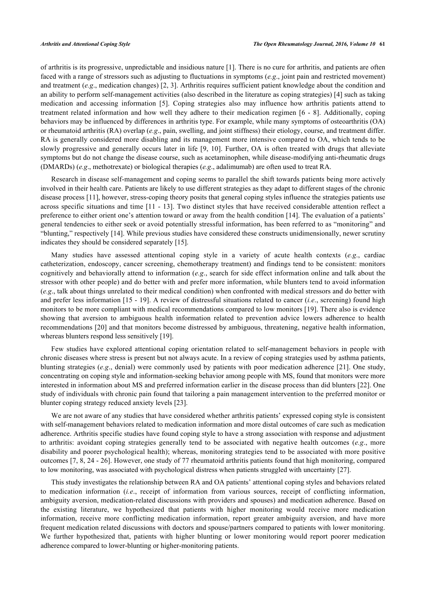of arthritis is its progressive, unpredictable and insidious nature [\[1](#page-8-0)]. There is no cure for arthritis, and patients are often faced with a range of stressors such as adjusting to fluctuations in symptoms (*e.g*., joint pain and restricted movement) and treatment (*e.g*., medication changes) [[2](#page-8-1), [3](#page-8-2)]. Arthritis requires sufficient patient knowledge about the condition and an ability to perform self-management activities (also described in the literature as coping strategies) [\[4](#page-8-3)] such as taking medication and accessing information [\[5](#page-9-0)]. Coping strategies also may influence how arthritis patients attend to treatment related information and how well they adhere to their medication regimen [[6](#page-9-1) - [8\]](#page-9-2). Additionally, coping behaviors may be influenced by differences in arthritis type. For example, while many symptoms of osteoarthritis (OA) or rheumatoid arthritis (RA) overlap (*e.g*., pain, swelling, and joint stiffness) their etiology, course, and treatment differ. RA is generally considered more disabling and its management more intensive compared to OA, which tends to be slowly progressive and generally occurs later in life [[9,](#page-9-3) [10](#page-9-4)]. Further, OA is often treated with drugs that alleviate symptoms but do not change the disease course, such as acetaminophen, while disease-modifying anti-rheumatic drugs (DMARDs) (*e.g*., methotrexate) or biological therapies (*e.g*., adalimumab) are often used to treat RA.

Research in disease self-management and coping seems to parallel the shift towards patients being more actively involved in their health care. Patients are likely to use different strategies as they adapt to different stages of the chronic disease process [\[11](#page-9-5)], however, stress-coping theory posits that general coping styles influence the strategies patients use across specific situations and time [\[11](#page-9-5) - [13\]](#page-9-6). Two distinct styles that have received considerable attention reflect a preference to either orient one's attention toward or away from the health condition [\[14](#page-9-7)]. The evaluation of a patients' general tendencies to either seek or avoid potentially stressful information, has been referred to as "monitoring" and "blunting," respectively [\[14](#page-9-7)]. While previous studies have considered these constructs unidimensionally, newer scrutiny indicates they should be considered separately [[15\]](#page-9-8).

Many studies have assessed attentional coping style in a variety of acute health contexts (*e.g*., cardiac catheterization, endoscopy, cancer screening, chemotherapy treatment) and findings tend to be consistent: monitors cognitively and behaviorally attend to information (*e.g*., search for side effect information online and talk about the stressor with other people) and do better with and prefer more information, while blunters tend to avoid information (*e.g*., talk about things unrelated to their medical condition) when confronted with medical stressors and do better with and prefer less information [\[15](#page-9-8) - [19](#page-9-9)]. A review of distressful situations related to cancer (*i.e*., screening) found high monitors to be more compliant with medical recommendations compared to low monitors [[19\]](#page-9-9). There also is evidence showing that aversion to ambiguous health information related to prevention advice lowers adherence to health recommendations [[20\]](#page-9-10) and that monitors become distressed by ambiguous, threatening, negative health information, whereas blunters respond less sensitively [[19\]](#page-9-9).

Few studies have explored attentional coping orientation related to self-management behaviors in people with chronic diseases where stress is present but not always acute. In a review of coping strategies used by asthma patients, blunting strategies (*e.g*., denial) were commonly used by patients with poor medication adherence [[21](#page-9-11)]. One study, concentrating on coping style and information-seeking behavior among people with MS, found that monitors were more interested in information about MS and preferred information earlier in the disease process than did blunters [\[22](#page-9-12)]. One study of individuals with chronic pain found that tailoring a pain management intervention to the preferred monitor or blunter coping strategy reduced anxiety levels [[23\]](#page-9-13).

We are not aware of any studies that have considered whether arthritis patients' expressed coping style is consistent with self-management behaviors related to medication information and more distal outcomes of care such as medication adherence. Arthritis specific studies have found coping style to have a strong association with response and adjustment to arthritis: avoidant coping strategies generally tend to be associated with negative health outcomes (*e.g*., more disability and poorer psychological health); whereas, monitoring strategies tend to be associated with more positive outcomes [\[7](#page-9-14), [8,](#page-9-2) [24](#page-9-15) - [26\]](#page-10-0). However, one study of 77 rheumatoid arthritis patients found that high monitoring, compared to low monitoring, was associated with psychological distress when patients struggled with uncertainty [[27\]](#page-10-1).

This study investigates the relationship between RA and OA patients' attentional coping styles and behaviors related to medication information (*i.e*., receipt of information from various sources, receipt of conflicting information, ambiguity aversion, medication-related discussions with providers and spouses) and medication adherence. Based on the existing literature, we hypothesized that patients with higher monitoring would receive more medication information, receive more conflicting medication information, report greater ambiguity aversion, and have more frequent medication related discussions with doctors and spouse/partners compared to patients with lower monitoring. We further hypothesized that, patients with higher blunting or lower monitoring would report poorer medication adherence compared to lower-blunting or higher-monitoring patients.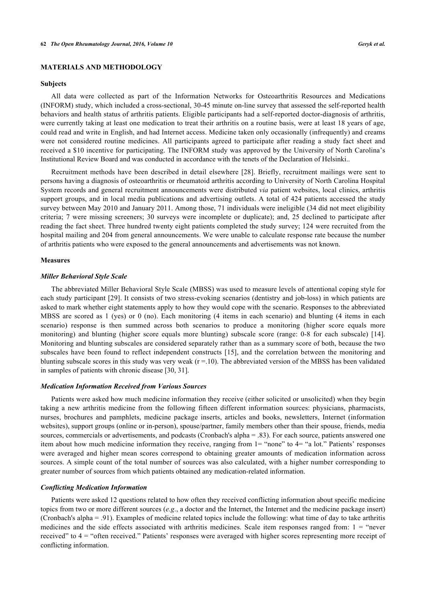## **MATERIALS AND METHODOLOGY**

#### **Subjects**

All data were collected as part of the Information Networks for Osteoarthritis Resources and Medications (INFORM) study, which included a cross-sectional, 30-45 minute on-line survey that assessed the self-reported health behaviors and health status of arthritis patients. Eligible participants had a self-reported doctor-diagnosis of arthritis, were currently taking at least one medication to treat their arthritis on a routine basis, were at least 18 years of age, could read and write in English, and had Internet access. Medicine taken only occasionally (infrequently) and creams were not considered routine medicines. All participants agreed to participate after reading a study fact sheet and received a \$10 incentive for participating. The INFORM study was approved by the University of North Carolina's Institutional Review Board and was conducted in accordance with the tenets of the Declaration of Helsinki..

Recruitment methods have been described in detail elsewhere[[28\]](#page-10-2). Briefly, recruitment mailings were sent to persons having a diagnosis of osteoarthritis or rheumatoid arthritis according to University of North Carolina Hospital System records and general recruitment announcements were distributed *via* patient websites, local clinics, arthritis support groups, and in local media publications and advertising outlets. A total of 424 patients accessed the study survey between May 2010 and January 2011. Among those, 71 individuals were ineligible (34 did not meet eligibility criteria; 7 were missing screeners; 30 surveys were incomplete or duplicate); and, 25 declined to participate after reading the fact sheet. Three hundred twenty eight patients completed the study survey; 124 were recruited from the hospital mailing and 204 from general announcements. We were unable to calculate response rate because the number of arthritis patients who were exposed to the general announcements and advertisements was not known.

#### **Measures**

#### *Miller Behavioral Style Scale*

The abbreviated Miller Behavioral Style Scale (MBSS) was used to measure levels of attentional coping style for each study participant [\[29\]](#page-10-3). It consists of two stress-evoking scenarios (dentistry and job-loss) in which patients are asked to mark whether eight statements apply to how they would cope with the scenario. Responses to the abbreviated MBSS are scored as 1 (yes) or 0 (no). Each monitoring (4 items in each scenario) and blunting (4 items in each scenario) response is then summed across both scenarios to produce a monitoring (higher score equals more monitoring) and blunting (higher score equals more blunting) subscale score (range: 0-8 for each subscale) [\[14\]](#page-9-7). Monitoring and blunting subscales are considered separately rather than as a summary score of both, because the two subscales have been found to reflect independent constructs [\[15\]](#page-9-8), and the correlation between the monitoring and blunting subscale scores in this study was very weak  $(r = 10)$ . The abbreviated version of the MBSS has been validated in samples of patients with chronic disease [[30,](#page-10-4) [31\]](#page-10-5).

#### *Medication Information Received from Various Sources*

Patients were asked how much medicine information they receive (either solicited or unsolicited) when they begin taking a new arthritis medicine from the following fifteen different information sources: physicians, pharmacists, nurses, brochures and pamphlets, medicine package inserts, articles and books, newsletters, Internet (information websites), support groups (online or in-person), spouse/partner, family members other than their spouse, friends, media sources, commercials or advertisements, and podcasts (Cronbach's alpha = .83). For each source, patients answered one item about how much medicine information they receive, ranging from 1= "none" to 4= "a lot." Patients' responses were averaged and higher mean scores correspond to obtaining greater amounts of medication information across sources. A simple count of the total number of sources was also calculated, with a higher number corresponding to greater number of sources from which patients obtained any medication-related information.

#### *Conflicting Medication Information*

Patients were asked 12 questions related to how often they received conflicting information about specific medicine topics from two or more different sources (*e.g*., a doctor and the Internet, the Internet and the medicine package insert) (Cronbach's alpha = .91). Examples of medicine related topics include the following: what time of day to take arthritis medicines and the side effects associated with arthritis medicines. Scale item responses ranged from:  $1 =$  "never received" to 4 = "often received." Patients' responses were averaged with higher scores representing more receipt of conflicting information.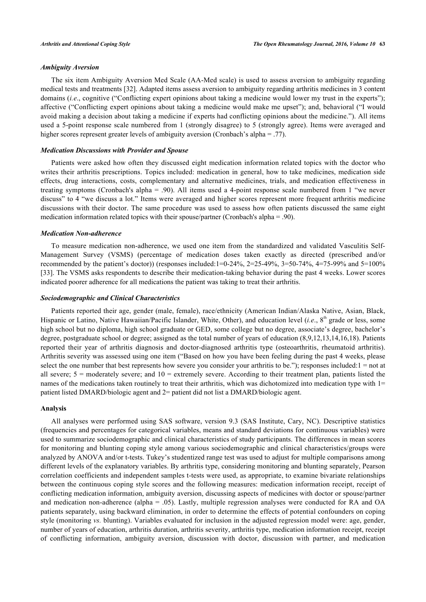## *Ambiguity Aversion*

The six item Ambiguity Aversion Med Scale (AA-Med scale) is used to assess aversion to ambiguity regarding medical tests and treatments [\[32](#page-10-6)]. Adapted items assess aversion to ambiguity regarding arthritis medicines in 3 content domains *(i.e.*, cognitive ("Conflicting expert opinions about taking a medicine would lower my trust in the experts"); affective ("Conflicting expert opinions about taking a medicine would make me upset"); and, behavioral ("I would avoid making a decision about taking a medicine if experts had conflicting opinions about the medicine."). All items used a 5-point response scale numbered from 1 (strongly disagree) to 5 (strongly agree). Items were averaged and higher scores represent greater levels of ambiguity aversion (Cronbach's alpha = .77).

#### *Medication Discussions with Provider and Spouse*

Patients were asked how often they discussed eight medication information related topics with the doctor who writes their arthritis prescriptions. Topics included: medication in general, how to take medicines, medication side effects, drug interactions, costs, complementary and alternative medicines, trials, and medication effectiveness in treating symptoms (Cronbach's alpha = .90). All items used a 4-point response scale numbered from 1 "we never discuss" to 4 "we discuss a lot." Items were averaged and higher scores represent more frequent arthritis medicine discussions with their doctor. The same procedure was used to assess how often patients discussed the same eight medication information related topics with their spouse/partner (Cronbach's alpha = .90).

#### *Medication Non-adherence*

To measure medication non-adherence, we used one item from the standardized and validated Vasculitis Self-Management Survey (VSMS) (percentage of medication doses taken exactly as directed (prescribed and/or recommended by the patient's doctor)) (responses included:1=0-24%, 2=25-49%, 3=50-74%, 4=75-99% and 5=100% [\[33](#page-10-7)]. The VSMS asks respondents to describe their medication-taking behavior during the past 4 weeks. Lower scores indicated poorer adherence for all medications the patient was taking to treat their arthritis.

#### *Sociodemographic and Clinical Characteristics*

Patients reported their age, gender (male, female), race/ethnicity (American Indian/Alaska Native, Asian, Black, Hispanic or Latino, Native Hawaiian/Pacific Islander, White, Other), and education level (*i.e.*, 8<sup>th</sup> grade or less, some high school but no diploma, high school graduate or GED, some college but no degree, associate's degree, bachelor's degree, postgraduate school or degree; assigned as the total number of years of education (8,9,12,13,14,16,18). Patients reported their year of arthritis diagnosis and doctor-diagnosed arthritis type (osteoarthritis, rheumatoid arthritis). Arthritis severity was assessed using one item ("Based on how you have been feeling during the past 4 weeks, please select the one number that best represents how severe you consider your arthritis to be."); responses included:1 = not at all severe;  $5 =$  moderately severe; and  $10 =$  extremely severe. According to their treatment plan, patients listed the names of the medications taken routinely to treat their arthritis, which was dichotomized into medication type with 1= patient listed DMARD/biologic agent and 2= patient did not list a DMARD/biologic agent.

#### **Analysis**

All analyses were performed using SAS software, version 9.3 (SAS Institute, Cary, NC). Descriptive statistics (frequencies and percentages for categorical variables, means and standard deviations for continuous variables) were used to summarize sociodemographic and clinical characteristics of study participants. The differences in mean scores for monitoring and blunting coping style among various sociodemographic and clinical characteristics/groups were analyzed by ANOVA and/or t-tests. Tukey's studentized range test was used to adjust for multiple comparisons among different levels of the explanatory variables. By arthritis type, considering monitoring and blunting separately, Pearson correlation coefficients and independent samples t-tests were used, as appropriate, to examine bivariate relationships between the continuous coping style scores and the following measures: medication information receipt, receipt of conflicting medication information, ambiguity aversion, discussing aspects of medicines with doctor or spouse/partner and medication non-adherence (alpha = .05). Lastly, multiple regression analyses were conducted for RA and OA patients separately, using backward elimination, in order to determine the effects of potential confounders on coping style (monitoring *vs.* blunting). Variables evaluated for inclusion in the adjusted regression model were: age, gender, number of years of education, arthritis duration, arthritis severity, arthritis type, medication information receipt, receipt of conflicting information, ambiguity aversion, discussion with doctor, discussion with partner, and medication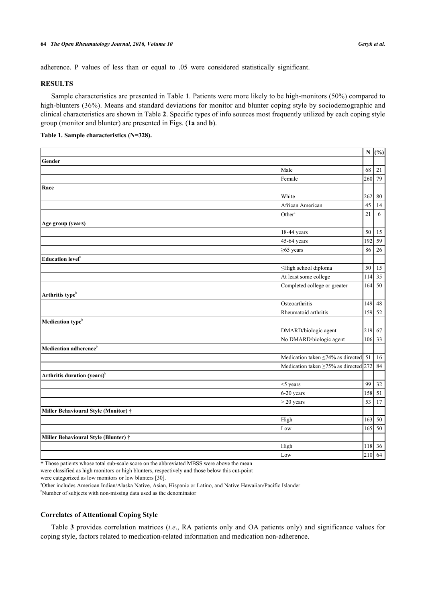adherence. P values of less than or equal to .05 were considered statistically significant.

## **RESULTS**

Sample characteristics are presented in Table **[1](#page-4-0)**. Patients were more likely to be high-monitors (50%) compared to high-blunters (36%). Means and standard deviations for monitor and blunter coping style by sociodemographic and clinical characteristics are shown in Table **[2](#page-4-1)**. Specific types of info sources most frequently utilized by each coping style group (monitor and blunter) are presented in Figs. (**[1a](#page-6-0)** and **[b](#page-6-1)**).

#### <span id="page-4-0"></span>**Table 1. Sample characteristics (N=328).**

|                                         |                                              |     | $N$ (%)         |
|-----------------------------------------|----------------------------------------------|-----|-----------------|
| Gender                                  |                                              |     |                 |
|                                         | Male                                         | 68  | $21\,$          |
|                                         | Female                                       | 260 | 79              |
| Race                                    |                                              |     |                 |
|                                         | White                                        | 262 | $80\,$          |
|                                         | African American                             | 45  | 14              |
|                                         | Other <sup>a</sup>                           | 21  | $\sqrt{6}$      |
| Age group (years)                       |                                              |     |                 |
|                                         | 18-44 years                                  | 50  | 15              |
|                                         | 45-64 years                                  | 192 | $\overline{59}$ |
|                                         | $\geq$ 65 years                              | 86  | $26\,$          |
| Education level <sup>b</sup>            |                                              |     |                 |
|                                         | ≤High school diploma                         | 50  | 15              |
|                                         | At least some college                        | 114 | 35              |
|                                         | Completed college or greater                 | 164 | 50              |
| Arthritis type <sup>b</sup>             |                                              |     |                 |
|                                         | Osteoarthritis                               | 149 | 48              |
|                                         | Rheumatoid arthritis                         | 159 | 52              |
| Medication type <sup>b</sup>            |                                              |     |                 |
|                                         | DMARD/biologic agent                         | 219 | 67              |
|                                         | No DMARD/biologic agent                      | 106 | 33              |
| Medication adherence <sup>b</sup>       |                                              |     |                 |
|                                         | Medication taken $\leq 74\%$ as directed 51  |     | 16              |
|                                         | Medication taken $\geq 75\%$ as directed 272 |     | 84              |
| Arthritis duration (years) <sup>b</sup> |                                              |     |                 |
|                                         | <5 years                                     | 99  | 32              |
|                                         | 6-20 years                                   | 158 | 51              |
|                                         | $>$ 20 years                                 | 53  | 17              |
| Miller Behavioural Style (Monitor) †    |                                              |     |                 |
|                                         | High                                         | 163 | 50              |
|                                         | Low                                          | 165 | $\overline{50}$ |
| Miller Behavioural Style (Blunter) †    |                                              |     |                 |
|                                         | High                                         | 118 | 36              |
|                                         | Low                                          | 210 | 64              |

† Those patients whose total sub-scale score on the abbreviated MBSS were above the mean

were classified as high monitors or high blunters, respectively and those below this cut-point

were categorized as low monitors or low blunters [\[30](#page-10-4)].

<sup>a</sup>Other includes American Indian/Alaska Native, Asian, Hispanic or Latino, and Native Hawaiian/Pacific Islander

<sup>b</sup>Number of subjects with non-missing data used as the denominator

#### **Correlates of Attentional Coping Style**

<span id="page-4-1"></span>Table **[3](#page-5-0)** provides correlation matrices (*i.e*., RA patients only and OA patients only) and significance values for coping style, factors related to medication-related information and medication non-adherence.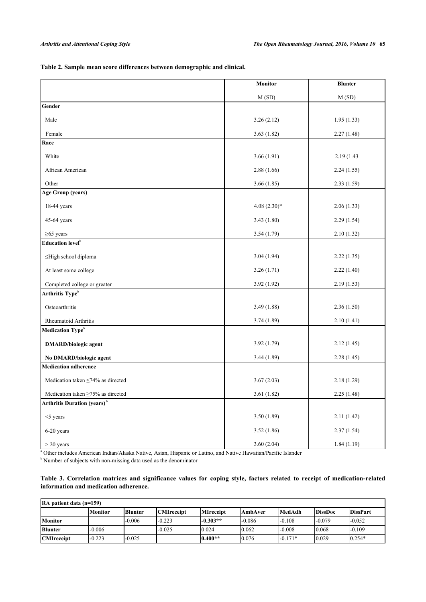**Table 2. Sample mean score differences between demographic and clinical.**

|                                                | Monitor       | <b>Blunter</b> |  |  |
|------------------------------------------------|---------------|----------------|--|--|
|                                                | M(SD)         | M(SD)          |  |  |
| Gender                                         |               |                |  |  |
| Male                                           | 3.26(2.12)    | 1.95(1.33)     |  |  |
| Female                                         | 3.63(1.82)    | 2.27(1.48)     |  |  |
| Race                                           |               |                |  |  |
| White                                          | 3.66(1.91)    | 2.19 (1.43)    |  |  |
| African American                               | 2.88(1.66)    | 2.24(1.55)     |  |  |
| Other                                          | 3.66(1.85)    | 2.33(1.59)     |  |  |
| <b>Age Group (years)</b>                       |               |                |  |  |
| 18-44 years                                    | $4.08(2.30)*$ | 2.06(1.33)     |  |  |
| 45-64 years                                    | 3.43(1.80)    | 2.29(1.54)     |  |  |
| $\geq$ 65 years                                | 3.54(1.79)    | 2.10(1.32)     |  |  |
| Education level <sup>b</sup>                   |               |                |  |  |
| $\leq$ High school diploma                     | 3.04(1.94)    | 2.22(1.35)     |  |  |
| At least some college                          | 3.26(1.71)    | 2.22(1.40)     |  |  |
| Completed college or greater                   | 3.92(1.92)    | 2.19(1.53)     |  |  |
| Arthritis Type <sup>b</sup>                    |               |                |  |  |
| Osteoarthritis                                 | 3.49(1.88)    | 2.36(1.50)     |  |  |
| Rheumatoid Arthritis                           | 3.74(1.89)    | 2.10(1.41)     |  |  |
| Medication Type <sup>b</sup>                   |               |                |  |  |
| <b>DMARD/biologic agent</b>                    | 3.92(1.79)    | 2.12(1.45)     |  |  |
| No DMARD/biologic agent                        | 3.44(1.89)    | 2.28(1.45)     |  |  |
| <b>Medication adherence</b>                    |               |                |  |  |
| Medication taken $\leq 74\%$ as directed       | 3.67(2.03)    | 2.18(1.29)     |  |  |
| Medication taken $\geq$ 75% as directed        | 3.61(1.82)    | 2.25(1.48)     |  |  |
| <b>Arthritis Duration (years)</b> <sup>b</sup> |               |                |  |  |
| $<$ 5 years                                    | 3.50(1.89)    | 2.11(1.42)     |  |  |
| 6-20 years                                     | 3.52(1.86)    | 2.37(1.54)     |  |  |
| $>$ 20 years                                   | 3.60(2.04)    | 1.84(1.19)     |  |  |

<sup>a</sup> Other includes American Indian/Alaska Native, Asian, Hispanic or Latino, and Native Hawaiian/Pacific Islander

<sup>b</sup> Number of subjects with non-missing data used as the denominator

## <span id="page-5-0"></span>**Table 3. Correlation matrices and significance values for coping style, factors related to receipt of medication-related information and medication adherence.**

| $RA$ patient data (n=159) |                |                |                   |                  |          |               |                |                 |
|---------------------------|----------------|----------------|-------------------|------------------|----------|---------------|----------------|-----------------|
|                           | <b>Monitor</b> | <b>Blunter</b> | <b>CMIreceipt</b> | <b>MIreceipt</b> | lAmbAver | <b>MedAdh</b> | <b>DissDoc</b> | <b>DissPart</b> |
| <b>Monitor</b>            |                | $-0.006$       | $-0.223$          | $-0.303**$       | $-0.086$ | $-0.108$      | $-0.079$       | $-0.052$        |
| <b>Blunter</b>            | $-0.006$       |                | $-0.025$          | 10.024           | 0.062    | $-0.008$      | 0.068          | $-0.109$        |
| <b>CMIreceipt</b>         | $-0.223$       | $-0.025$       |                   | $0.400**$        | 0.076    | $-0.171*$     | 0.029          | $0.254*$        |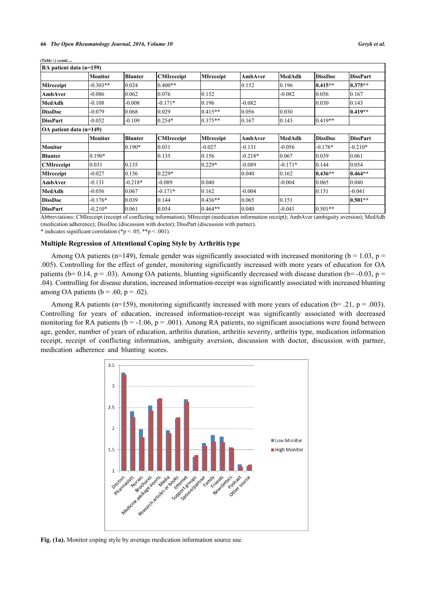| RA patient data (n=159) |                |                |                   |                  |           |               |                |                 |
|-------------------------|----------------|----------------|-------------------|------------------|-----------|---------------|----------------|-----------------|
|                         | Monitor        | <b>Blunter</b> | <b>CMIreceipt</b> | <b>MIreceipt</b> | AmbAver   | MedAdh        | <b>DissDoc</b> | <b>DissPart</b> |
| <b>MIreceipt</b>        | $-0.303**$     | 0.024          | $0.400**$         |                  | 0.152     | 0.196         | $0.415**$      | $10.375**$      |
| <b>AmbAver</b>          | $-0.086$       | 0.062          | 0.076             | 0.152            |           | $-0.082$      | 0.056          | 0.167           |
| MedAdh                  | $-0.108$       | $-0.008$       | $-0.171*$         | 0.196            | $-0.082$  |               | 0.030          | 0.143           |
| <b>DissDoc</b>          | $-0.079$       | 0.068          | 0.029             | $0.415**$        | 0.056     | 0.030         |                | $0.419**$       |
| <b>DissPart</b>         | $-0.052$       | $-0.109$       | $0.254*$          | $0.375**$        | 0.167     | 0.143         | $0.419**$      |                 |
| OA patient data (n=149) |                |                |                   |                  |           |               |                |                 |
|                         | <b>Monitor</b> | <b>Blunter</b> | <b>CMIreceipt</b> | <b>MIreceipt</b> | AmbAver   | <b>MedAdh</b> | <b>DissDoc</b> | <b>DissPart</b> |
| <b>Monitor</b>          |                | $0.190*$       | 0.031             | $-0.027$         | $-0.131$  | $-0.056$      | $-0.176*$      | $-0.210*$       |
| <b>Blunter</b>          | $0.190*$       |                | 0.135             | 0.156            | $-0.218*$ | 0.067         | 0.039          | 0.061           |
| <b>CMIreceipt</b>       | 0.031          | 0.135          |                   | $0.229*$         | $-0.089$  | $-0.171*$     | 0.144          | 0.054           |
| <b>MIreceipt</b>        | $-0.027$       | 0.156          | $0.229*$          |                  | 0.040     | 0.162         | $0.436**$      | $0.464**$       |
| <b>AmbAver</b>          | $-0.131$       | $-0.218*$      | $-0.089$          | 0.040            |           | $-0.004$      | 0.065          | 0.040           |
| MedAdh                  | $-0.056$       | 0.067          | $-0.171*$         | 0.162            | $-0.004$  |               | 0.151          | $-0.041$        |
| <b>DissDoc</b>          | $-0.176*$      | 0.039          | 0.144             | $0.436**$        | 0.065     | 0.151         |                | $0.501**$       |
| <b>DissPart</b>         | $-0.210*$      | 0.061          | 0.054             | $0.464**$        | 10.040    | $-0.041$      | $0.501**$      |                 |

*(Table ) contd.....*

Abbreviations: CMIreceipt (receipt of conflicting information); MIreceipt (medication information receipt); AmbAver (ambiguity aversion); MedAdh (medication adherence); DissDoc (discussion with doctor); DissPart (discussion with partner).

\* indicates significant correlation (\*p < .05, \*\*p < .001).

## **Multiple Regression of Attentional Coping Style by Arthritis type**

Among OA patients (n=149), female gender was significantly associated with increased monitoring (b = 1.03, p = .005). Controlling for the effect of gender, monitoring significantly increased with more years of education for OA patients (b= 0.14, p = .03). Among OA patients, blunting significantly decreased with disease duration (b= -0.03, p = .04). Controlling for disease duration, increased information-receipt was significantly associated with increased blunting among OA patients ( $b = .60$ ,  $p = .02$ ).

<span id="page-6-0"></span>Among RA patients (n=159), monitoring significantly increased with more years of education (b= .21, p = .003). Controlling for years of education, increased information-receipt was significantly associated with decreased monitoring for RA patients ( $b = -1.06$ ,  $p = .001$ ). Among RA patients, no significant associations were found between age, gender, number of years of education, arthritis duration, arthritis severity, arthritis type, medication information receipt, receipt of conflicting information, ambiguity aversion, discussion with doctor, discussion with partner, medication adherence and blunting scores.



<span id="page-6-1"></span>**Fig. (1a).** Monitor coping style by average medication information source use.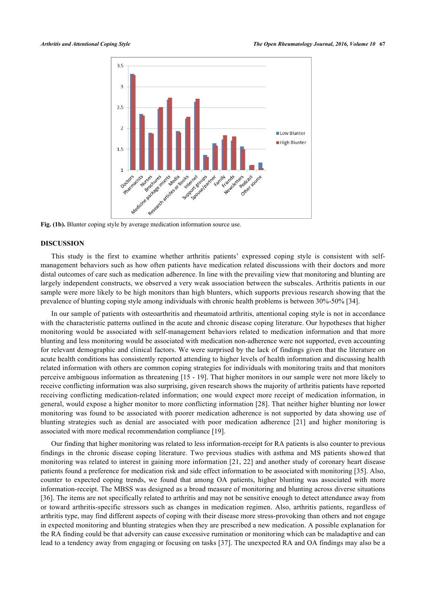

## **DISCUSSION**

This study is the first to examine whether arthritis patients' expressed coping style is consistent with selfmanagement behaviors such as how often patients have medication related discussions with their doctors and more distal outcomes of care such as medication adherence. In line with the prevailing view that monitoring and blunting are largely independent constructs, we observed a very weak association between the subscales. Arthritis patients in our sample were more likely to be high monitors than high blunters, which supports previous research showing that the prevalence of blunting coping style among individuals with chronic health problems is between 30%-50% [\[34](#page-10-8)].

In our sample of patients with osteoarthritis and rheumatoid arthritis, attentional coping style is not in accordance with the characteristic patterns outlined in the acute and chronic disease coping literature. Our hypotheses that higher monitoring would be associated with self-management behaviors related to medication information and that more blunting and less monitoring would be associated with medication non-adherence were not supported, even accounting for relevant demographic and clinical factors. We were surprised by the lack of findings given that the literature on acute health conditions has consistently reported attending to higher levels of health information and discussing health related information with others are common coping strategies for individuals with monitoring traits and that monitors perceive ambiguous information as threatening [[15](#page-9-8) - [19](#page-9-9)]. That higher monitors in our sample were not more likely to receive conflicting information was also surprising, given research shows the majority of arthritis patients have reported receiving conflicting medication-related information; one would expect more receipt of medication information, in general, would expose a higher monitor to more conflicting information [[28\]](#page-10-2). That neither higher blunting nor lower monitoring was found to be associated with poorer medication adherence is not supported by data showing use of blunting strategies such as denial are associated with poor medication adherence[[21\]](#page-9-11) and higher monitoring is associated with more medical recommendation compliance [\[19](#page-9-9)].

Our finding that higher monitoring was related to less information-receipt for RA patients is also counter to previous findings in the chronic disease coping literature. Two previous studies with asthma and MS patients showed that monitoring was related to interest in gaining more information [\[21](#page-9-11), [22](#page-9-12)] and another study of coronary heart disease patients found a preference for medication risk and side effect information to be associated with monitoring [\[35\]](#page-10-9). Also, counter to expected coping trends, we found that among OA patients, higher blunting was associated with more information-receipt. The MBSS was designed as a broad measure of monitoring and blunting across diverse situations [\[36](#page-10-10)]. The items are not specifically related to arthritis and may not be sensitive enough to detect attendance away from or toward arthritis-specific stressors such as changes in medication regimen. Also, arthritis patients, regardless of arthritis type, may find different aspects of coping with their disease more stress-provoking than others and not engage in expected monitoring and blunting strategies when they are prescribed a new medication. A possible explanation for the RA finding could be that adversity can cause excessive rumination or monitoring which can be maladaptive and can lead to a tendency away from engaging or focusing on tasks [[37\]](#page-10-11). The unexpected RA and OA findings may also be a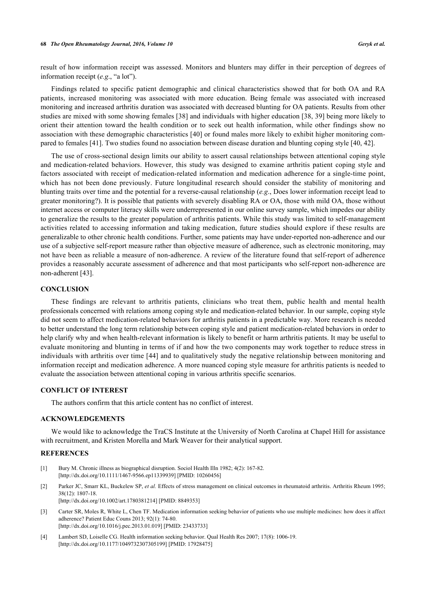result of how information receipt was assessed. Monitors and blunters may differ in their perception of degrees of information receipt (*e.g*., "a lot").

Findings related to specific patient demographic and clinical characteristics showed that for both OA and RA patients, increased monitoring was associated with more education. Being female was associated with increased monitoring and increased arthritis duration was associated with decreased blunting for OA patients. Results from other studies are mixed with some showing females [\[38\]](#page-10-12) and individuals with higher education [[38](#page-10-12), [39](#page-10-13)] being more likely to orient their attention toward the health condition or to seek out health information, while other findings show no association with these demographic characteristics [\[40](#page-10-14)] or found males more likely to exhibit higher monitoring compared to females [[41\]](#page-10-15). Two studies found no association between disease duration and blunting coping style [[40,](#page-10-14) [42\]](#page-10-16).

The use of cross-sectional design limits our ability to assert causal relationships between attentional coping style and medication-related behaviors. However, this study was designed to examine arthritis patient coping style and factors associated with receipt of medication-related information and medication adherence for a single-time point, which has not been done previously. Future longitudinal research should consider the stability of monitoring and blunting traits over time and the potential for a reverse-causal relationship (*e.g*., Does lower information receipt lead to greater monitoring?). It is possible that patients with severely disabling RA or OA, those with mild OA, those without internet access or computer literacy skills were underrepresented in our online survey sample, which impedes our ability to generalize the results to the greater population of arthritis patients. While this study was limited to self-management activities related to accessing information and taking medication, future studies should explore if these results are generalizable to other chronic health conditions. Further, some patients may have under-reported non-adherence and our use of a subjective self-report measure rather than objective measure of adherence, such as electronic monitoring, may not have been as reliable a measure of non-adherence. A review of the literature found that self-report of adherence provides a reasonably accurate assessment of adherence and that most participants who self-report non-adherence are non-adherent [\[43](#page-10-17)].

## **CONCLUSION**

These findings are relevant to arthritis patients, clinicians who treat them, public health and mental health professionals concerned with relations among coping style and medication-related behavior. In our sample, coping style did not seem to affect medication-related behaviors for arthritis patients in a predictable way. More research is needed to better understand the long term relationship between coping style and patient medication-related behaviors in order to help clarify why and when health-relevant information is likely to benefit or harm arthritis patients. It may be useful to evaluate monitoring and blunting in terms of if and how the two components may work together to reduce stress in individuals with arthritis over time [[44](#page-10-18)] and to qualitatively study the negative relationship between monitoring and information receipt and medication adherence. A more nuanced coping style measure for arthritis patients is needed to evaluate the association between attentional coping in various arthritis specific scenarios.

#### **CONFLICT OF INTEREST**

The authors confirm that this article content has no conflict of interest.

#### **ACKNOWLEDGEMENTS**

We would like to acknowledge the TraCS Institute at the University of North Carolina at Chapel Hill for assistance with recruitment, and Kristen Morella and Mark Weaver for their analytical support.

#### **REFERENCES**

- <span id="page-8-0"></span>[1] Bury M. Chronic illness as biographical disruption. Sociol Health Illn 1982; 4(2): 167-82. [\[http://dx.doi.org/10.1111/1467-9566.ep11339939](http://dx.doi.org/10.1111/1467-9566.ep11339939)] [PMID: [10260456\]](http://www.ncbi.nlm.nih.gov/pubmed/10260456)
- <span id="page-8-1"></span>[2] Parker JC, Smarr KL, Buckelew SP, *et al.* Effects of stress management on clinical outcomes in rheumatoid arthritis. Arthritis Rheum 1995; 38(12): 1807-18.
	- [\[http://dx.doi.org/10.1002/art.1780381214](http://dx.doi.org/10.1002/art.1780381214)] [PMID: [8849353\]](http://www.ncbi.nlm.nih.gov/pubmed/8849353)
- <span id="page-8-2"></span>[3] Carter SR, Moles R, White L, Chen TF. Medication information seeking behavior of patients who use multiple medicines: how does it affect adherence? Patient Educ Couns 2013; 92(1): 74-80. [\[http://dx.doi.org/10.1016/j.pec.2013.01.019](http://dx.doi.org/10.1016/j.pec.2013.01.019)] [PMID: [23433733\]](http://www.ncbi.nlm.nih.gov/pubmed/23433733)
- <span id="page-8-3"></span>[4] Lambert SD, Loiselle CG. Health information seeking behavior. Qual Health Res 2007; 17(8): 1006-19. [\[http://dx.doi.org/10.1177/1049732307305199\]](http://dx.doi.org/10.1177/1049732307305199) [PMID: [17928475](http://www.ncbi.nlm.nih.gov/pubmed/17928475)]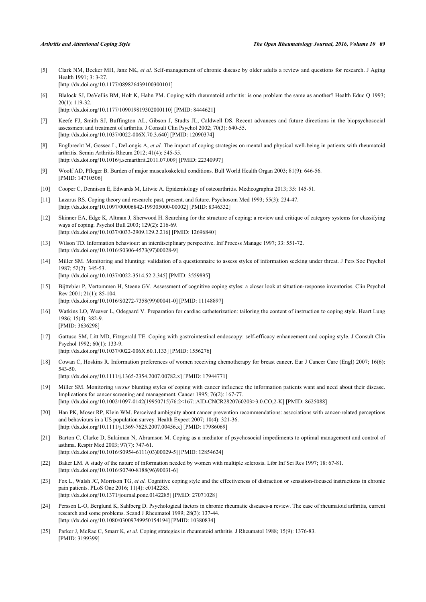- <span id="page-9-0"></span>[5] Clark NM, Becker MH, Janz NK, *et al.* Self-management of chronic disease by older adults a review and questions for research. J Aging Health 1991; 3: 3-27. [\[http://dx.doi.org/10.1177/089826439100300101\]](http://dx.doi.org/10.1177/089826439100300101)
- <span id="page-9-1"></span>[6] Blalock SJ, DeVellis BM, Holt K, Hahn PM. Coping with rheumatoid arthritis: is one problem the same as another? Health Educ Q 1993; 20(1): 119-32. [\[http://dx.doi.org/10.1177/109019819302000110\]](http://dx.doi.org/10.1177/109019819302000110) [PMID: [8444621](http://www.ncbi.nlm.nih.gov/pubmed/8444621)]
- <span id="page-9-14"></span>[7] Keefe FJ, Smith SJ, Buffington AL, Gibson J, Studts JL, Caldwell DS. Recent advances and future directions in the biopsychosocial assessment and treatment of arthritis. J Consult Clin Psychol 2002; 70(3): 640-55. [\[http://dx.doi.org/10.1037/0022-006X.70.3.640](http://dx.doi.org/10.1037/0022-006X.70.3.640)] [PMID: [12090374\]](http://www.ncbi.nlm.nih.gov/pubmed/12090374)
- <span id="page-9-2"></span>[8] Englbrecht M, Gossec L, DeLongis A, *et al.* The impact of coping strategies on mental and physical well-being in patients with rheumatoid arthritis. Semin Arthritis Rheum 2012; 41(4): 545-55. [\[http://dx.doi.org/10.1016/j.semarthrit.2011.07.009](http://dx.doi.org/10.1016/j.semarthrit.2011.07.009)] [PMID: [22340997](http://www.ncbi.nlm.nih.gov/pubmed/22340997)]
- <span id="page-9-3"></span>[9] Woolf AD, Pfleger B. Burden of major musculoskeletal conditions. Bull World Health Organ 2003; 81(9): 646-56. [PMID: [14710506\]](http://www.ncbi.nlm.nih.gov/pubmed/14710506)
- <span id="page-9-4"></span>[10] Cooper C, Dennison E, Edwards M, Litwic A. Epidemiology of osteoarthritis. Medicographia 2013; 35: 145-51.
- <span id="page-9-5"></span>[11] Lazarus RS. Coping theory and research: past, present, and future. Psychosom Med 1993; 55(3): 234-47. [\[http://dx.doi.org/10.1097/00006842-199305000-00002](http://dx.doi.org/10.1097/00006842-199305000-00002)] [PMID: [8346332\]](http://www.ncbi.nlm.nih.gov/pubmed/8346332)
- [12] Skinner EA, Edge K, Altman J, Sherwood H. Searching for the structure of coping: a review and critique of category systems for classifying ways of coping. Psychol Bull 2003; 129(2): 216-69. [\[http://dx.doi.org/10.1037/0033-2909.129.2.216](http://dx.doi.org/10.1037/0033-2909.129.2.216)] [PMID: [12696840](http://www.ncbi.nlm.nih.gov/pubmed/12696840)]
- <span id="page-9-6"></span>[13] Wilson TD. Information behaviour: an interdisciplinary perspective. Inf Process Manage 1997; 33: 551-72. [\[http://dx.doi.org/10.1016/S0306-4573\(97\)00028-9\]](http://dx.doi.org/10.1016/S0306-4573(97)00028-9)
- <span id="page-9-7"></span>[14] Miller SM. Monitoring and blunting: validation of a questionnaire to assess styles of information seeking under threat. J Pers Soc Psychol 1987; 52(2): 345-53. [\[http://dx.doi.org/10.1037/0022-3514.52.2.345](http://dx.doi.org/10.1037/0022-3514.52.2.345)] [PMID: [3559895](http://www.ncbi.nlm.nih.gov/pubmed/3559895)]
- <span id="page-9-8"></span>[15] Bijttebier P, Vertommen H, Steene GV. Assessment of cognitive coping styles: a closer look at situation-response inventories. Clin Psychol Rev 2001; 21(1): 85-104.

[\[http://dx.doi.org/10.1016/S0272-7358\(99\)00041-0\]](http://dx.doi.org/10.1016/S0272-7358(99)00041-0) [PMID: [11148897](http://www.ncbi.nlm.nih.gov/pubmed/11148897)]

- [16] Watkins LO, Weaver L, Odegaard V. Preparation for cardiac catheterization: tailoring the content of instruction to coping style. Heart Lung 1986; 15(4): 382-9. [PMID: [3636298\]](http://www.ncbi.nlm.nih.gov/pubmed/3636298)
- [17] Gattuso SM, Litt MD, Fitzgerald TE. Coping with gastrointestinal endoscopy: self-efficacy enhancement and coping style. J Consult Clin Psychol 1992; 60(1): 133-9.

[\[http://dx.doi.org/10.1037/0022-006X.60.1.133](http://dx.doi.org/10.1037/0022-006X.60.1.133)] [PMID: [1556276\]](http://www.ncbi.nlm.nih.gov/pubmed/1556276)

[18] Cowan C, Hoskins R. Information preferences of women receiving chemotherapy for breast cancer. Eur J Cancer Care (Engl) 2007; 16(6): 543-50.

[\[http://dx.doi.org/10.1111/j.1365-2354.2007.00782.x\]](http://dx.doi.org/10.1111/j.1365-2354.2007.00782.x) [PMID: [17944771](http://www.ncbi.nlm.nih.gov/pubmed/17944771)]

- <span id="page-9-9"></span>[19] Miller SM. Monitoring *versus* blunting styles of coping with cancer influence the information patients want and need about their disease. Implications for cancer screening and management. Cancer 1995; 76(2): 167-77. [\[http://dx.doi.org/10.1002/1097-0142\(19950715\)76:2<167::AID-CNCR2820760203>3.0.CO;2-K\]](http://dx.doi.org/10.1002/1097-0142(19950715)76:2<167::AID-CNCR2820760203>3.0.CO;2-K) [PMID: [8625088](http://www.ncbi.nlm.nih.gov/pubmed/8625088)]
- <span id="page-9-10"></span>[20] Han PK, Moser RP, Klein WM. Perceived ambiguity about cancer prevention recommendations: associations with cancer-related perceptions and behaviours in a US population survey. Health Expect 2007; 10(4): 321-36. [\[http://dx.doi.org/10.1111/j.1369-7625.2007.00456.x\]](http://dx.doi.org/10.1111/j.1369-7625.2007.00456.x) [PMID: [17986069](http://www.ncbi.nlm.nih.gov/pubmed/17986069)]
- <span id="page-9-11"></span>[21] Barton C, Clarke D, Sulaiman N, Abramson M. Coping as a mediator of psychosocial impediments to optimal management and control of asthma. Respir Med 2003; 97(7): 747-61. [\[http://dx.doi.org/10.1016/S0954-6111\(03\)00029-5\]](http://dx.doi.org/10.1016/S0954-6111(03)00029-5) [PMID: [12854624](http://www.ncbi.nlm.nih.gov/pubmed/12854624)]
- <span id="page-9-12"></span>[22] Baker LM. A study of the nature of information needed by women with multiple sclerosis. Libr Inf Sci Res 1997; 18: 67-81. [\[http://dx.doi.org/10.1016/S0740-8188\(96\)90031-6\]](http://dx.doi.org/10.1016/S0740-8188(96)90031-6)
- <span id="page-9-13"></span>[23] Fox L, Walsh JC, Morrison TG, *et al.* Cognitive coping style and the effectiveness of distraction or sensation-focused instructions in chronic pain patients. PLoS One 2016; 11(4): e0142285. [\[http://dx.doi.org/10.1371/journal.pone.0142285](http://dx.doi.org/10.1371/journal.pone.0142285)] [PMID: [27071028\]](http://www.ncbi.nlm.nih.gov/pubmed/27071028)
- <span id="page-9-15"></span>[24] Persson L-O, Berglund K, Sahlberg D. Psychological factors in chronic rheumatic diseases-a review. The case of rheumatoid arthritis, current research and some problems. Scand J Rheumatol 1999; 28(3): 137-44. [\[http://dx.doi.org/10.1080/03009749950154194\]](http://dx.doi.org/10.1080/03009749950154194) [PMID: [10380834](http://www.ncbi.nlm.nih.gov/pubmed/10380834)]
- [25] Parker J, McRae C, Smarr K, *et al.* Coping strategies in rheumatoid arthritis. J Rheumatol 1988; 15(9): 1376-83. [PMID: [3199399\]](http://www.ncbi.nlm.nih.gov/pubmed/3199399)